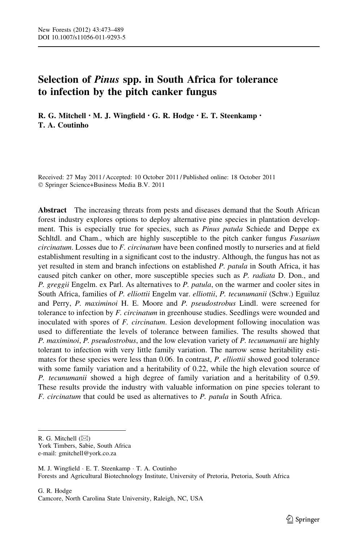# Selection of Pinus spp. in South Africa for tolerance to infection by the pitch canker fungus

R. G. Mitchell • M. J. Wingfield • G. R. Hodge • E. T. Steenkamp • T. A. Coutinho

Received: 27 May 2011 / Accepted: 10 October 2011 / Published online: 18 October 2011 - Springer Science+Business Media B.V. 2011

Abstract The increasing threats from pests and diseases demand that the South African forest industry explores options to deploy alternative pine species in plantation development. This is especially true for species, such as *Pinus patula* Schiede and Deppe ex Schltdl. and Cham., which are highly susceptible to the pitch canker fungus Fusarium  $circinatum$ . Losses due to  $F.$   $circinatum$  have been confined mostly to nurseries and at field establishment resulting in a significant cost to the industry. Although, the fungus has not as yet resulted in stem and branch infections on established P. patula in South Africa, it has caused pitch canker on other, more susceptible species such as P. radiata D. Don., and P. greggii Engelm. ex Parl. As alternatives to P. patula, on the warmer and cooler sites in South Africa, families of P. elliottii Engelm var. elliottii, P. tecunumanii (Schw.) Eguiluz and Perry, P. maximinoi H. E. Moore and P. pseudostrobus Lindl. were screened for tolerance to infection by  $F$ . *circinatum* in greenhouse studies. Seedlings were wounded and inoculated with spores of F. circinatum. Lesion development following inoculation was used to differentiate the levels of tolerance between families. The results showed that P. maximinoi, P. pseudostrobus, and the low elevation variety of P. tecunumanii are highly tolerant to infection with very little family variation. The narrow sense heritability estimates for these species were less than 0.06. In contrast, P. elliottii showed good tolerance with some family variation and a heritability of 0.22, while the high elevation source of P. tecunumanii showed a high degree of family variation and a heritability of 0.59. These results provide the industry with valuable information on pine species tolerant to F. circinatum that could be used as alternatives to P. patula in South Africa.

York Timbers, Sabie, South Africa e-mail: gmitchell@york.co.za

R. G. Mitchell  $(\boxtimes)$ 

M. J. Wingfield - E. T. Steenkamp - T. A. Coutinho Forests and Agricultural Biotechnology Institute, University of Pretoria, Pretoria, South Africa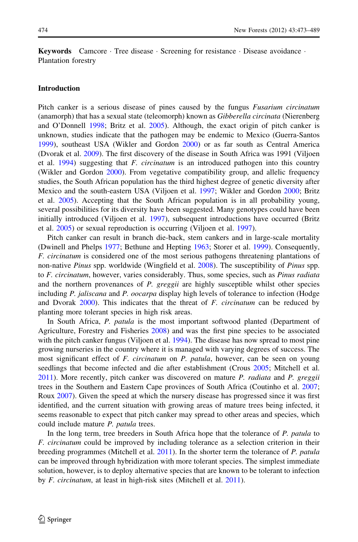Keywords Camcore · Tree disease · Screening for resistance · Disease avoidance · Plantation forestry

## Introduction

Pitch canker is a serious disease of pines caused by the fungus Fusarium circinatum (anamorph) that has a sexual state (teleomorph) known as Gibberella circinata (Nierenberg and O'Donnell [1998](#page-16-0); Britz et al. [2005](#page-15-0)). Although, the exact origin of pitch canker is unknown, studies indicate that the pathogen may be endemic to Mexico (Guerra-Santos [1999\)](#page-15-0), southeast USA (Wikler and Gordon [2000\)](#page-16-0) or as far south as Central America (Dvorak et al. [2009\)](#page-15-0). The first discovery of the disease in South Africa was 1991 (Viljoen et al. [1994](#page-16-0)) suggesting that F. circinatum is an introduced pathogen into this country (Wikler and Gordon [2000\)](#page-16-0). From vegetative compatibility group, and allelic frequency studies, the South African population has the third highest degree of genetic diversity after Mexico and the south-eastern USA (Viljoen et al. [1997;](#page-16-0) Wikler and Gordon [2000;](#page-16-0) Britz et al. [2005\)](#page-15-0). Accepting that the South African population is in all probability young, several possibilities for its diversity have been suggested. Many genotypes could have been initially introduced (Viljoen et al. [1997\)](#page-16-0), subsequent introductions have occurred (Britz et al. [2005](#page-15-0)) or sexual reproduction is occurring (Viljoen et al. [1997\)](#page-16-0).

Pitch canker can result in branch die-back, stem cankers and in large-scale mortality (Dwinell and Phelps [1977](#page-15-0); Bethune and Hepting [1963;](#page-15-0) Storer et al. [1999\)](#page-16-0). Consequently, F. circinatum is considered one of the most serious pathogens threatening plantations of non-native Pinus spp. worldwide (Wingfield et al. [2008\)](#page-16-0). The susceptibility of Pinus spp. to  $F$ . circinatum, however, varies considerably. Thus, some species, such as *Pinus radiata* and the northern provenances of P. greggii are highly susceptible whilst other species including P. jaliscana and P. oocarpa display high levels of tolerance to infection (Hodge and Dvorak  $2000$ ). This indicates that the threat of F. circinatum can be reduced by planting more tolerant species in high risk areas.

In South Africa, P. patula is the most important softwood planted (Department of Agriculture, Forestry and Fisheries [2008\)](#page-15-0) and was the first pine species to be associated with the pitch canker fungus (Viljoen et al. [1994\)](#page-16-0). The disease has now spread to most pine growing nurseries in the country where it is managed with varying degrees of success. The most significant effect of  $F$ . *circinatum* on  $P$ . *patula*, however, can be seen on young seedlings that become infected and die after establishment (Crous [2005](#page-15-0); Mitchell et al.  $2011$ ). More recently, pitch canker was discovered on mature *P. radiata* and *P. greggii* trees in the Southern and Eastern Cape provinces of South Africa (Coutinho et al. [2007;](#page-15-0) Roux [2007\)](#page-16-0). Given the speed at which the nursery disease has progressed since it was first identified, and the current situation with growing areas of mature trees being infected, it seems reasonable to expect that pitch canker may spread to other areas and species, which could include mature *P. patula* trees.

In the long term, tree breeders in South Africa hope that the tolerance of P. patula to F. circinatum could be improved by including tolerance as a selection criterion in their breeding programmes (Mitchell et al. [2011\)](#page-16-0). In the shorter term the tolerance of P. patula can be improved through hybridization with more tolerant species. The simplest immediate solution, however, is to deploy alternative species that are known to be tolerant to infection by *F. circinatum*, at least in high-risk sites (Mitchell et al. [2011\)](#page-16-0).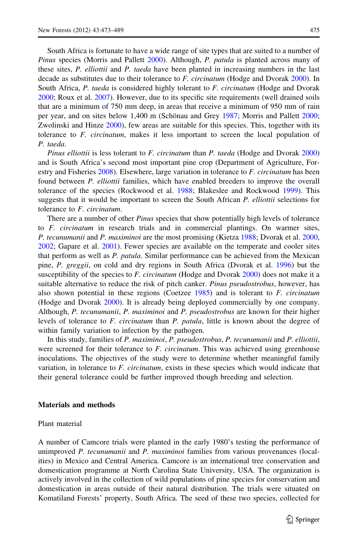South Africa is fortunate to have a wide range of site types that are suited to a number of Pinus species (Morris and Pallett [2000](#page-16-0)). Although, P. patula is planted across many of these sites, P. elliottii and P. taeda have been planted in increasing numbers in the last decade as substitutes due to their tolerance to F. circinatum (Hodge and Dvorak [2000](#page-15-0)). In South Africa, P. taeda is considered highly tolerant to F. circinatum (Hodge and Dvorak [2000;](#page-15-0) Roux et al. [2007](#page-16-0)). However, due to its specific site requirements (well drained soils that are a minimum of 750 mm deep, in areas that receive a minimum of 950 mm of rain per year, and on sites below 1,400 m (Schönau and Grey [1987;](#page-16-0) Morris and Pallett [2000;](#page-16-0) Zwolinski and Hinze [2000](#page-16-0)), few areas are suitable for this species. This, together with its tolerance to F. circinatum, makes it less important to screen the local population of P. taeda.

Pinus elliottii is less tolerant to F. circinatum than P. taeda (Hodge and Dvorak [2000](#page-15-0)) and is South Africa's second most important pine crop (Department of Agriculture, For-estry and Fisheries [2008](#page-15-0)). Elsewhere, large variation in tolerance to F. circinatum has been found between *P. elliottii* families, which have enabled breeders to improve the overall tolerance of the species (Rockwood et al. [1988;](#page-16-0) Blakeslee and Rockwood [1999](#page-15-0)). This suggests that it would be important to screen the South African P. elliottii selections for tolerance to F. circinatum.

There are a number of other *Pinus* species that show potentially high levels of tolerance to F. circinatum in research trials and in commercial plantings. On warmer sites, P. tecunumanii and P. maximinoi are the most promising (Kietza [1988;](#page-15-0) Dvorak et al. [2000](#page-15-0), [2002;](#page-15-0) Gapare et al. [2001](#page-15-0)). Fewer species are available on the temperate and cooler sites that perform as well as P. patula. Similar performance can be achieved from the Mexican pine, P. greggii, on cold and dry regions in South Africa (Dvorak et al. [1996\)](#page-15-0) but the susceptibility of the species to  $F$ . *circinatum* (Hodge and Dvorak  $2000$ ) does not make it a suitable alternative to reduce the risk of pitch canker. *Pinus pseudostrobus*, however, has also shown potential in these regions (Coetzee  $1985$ ) and is tolerant to F. *circinatum* (Hodge and Dvorak [2000\)](#page-15-0). It is already being deployed commercially by one company. Although, P. tecunumanii, P. maximinoi and P. pseudostrobus are known for their higher levels of tolerance to F. circinatum than P. patula, little is known about the degree of within family variation to infection by the pathogen.

In this study, families of P. maximinoi, P. pseudostrobus, P. tecunumanii and P. elliottii, were screened for their tolerance to *F. circinatum*. This was achieved using greenhouse inoculations. The objectives of the study were to determine whether meaningful family variation, in tolerance to  $F$ . *circinatum*, exists in these species which would indicate that their general tolerance could be further improved though breeding and selection.

#### Materials and methods

# Plant material

A number of Camcore trials were planted in the early 1980's testing the performance of unimproved *P. tecunumanii* and *P. maximinoi* families from various provenances (localities) in Mexico and Central America. Camcore is an international tree conservation and domestication programme at North Carolina State University, USA. The organization is actively involved in the collection of wild populations of pine species for conservation and domestication in areas outside of their natural distribution. The trials were situated on Komatiland Forests' property, South Africa. The seed of these two species, collected for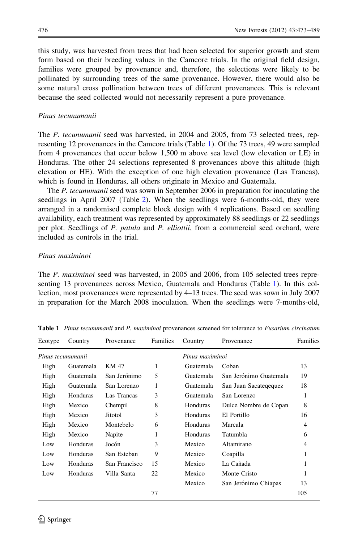this study, was harvested from trees that had been selected for superior growth and stem form based on their breeding values in the Camcore trials. In the original field design, families were grouped by provenance and, therefore, the selections were likely to be pollinated by surrounding trees of the same provenance. However, there would also be some natural cross pollination between trees of different provenances. This is relevant because the seed collected would not necessarily represent a pure provenance.

# Pinus tecunumanii

The P. tecunumanii seed was harvested, in 2004 and 2005, from 73 selected trees, representing 12 provenances in the Camcore trials (Table 1). Of the 73 trees, 49 were sampled from 4 provenances that occur below 1,500 m above sea level (low elevation or LE) in Honduras. The other 24 selections represented 8 provenances above this altitude (high elevation or HE). With the exception of one high elevation provenance (Las Trancas), which is found in Honduras, all others originate in Mexico and Guatemala.

The P. tecunumanii seed was sown in September 2006 in preparation for inoculating the seedlings in April 2007 (Table [2](#page-4-0)). When the seedlings were 6-months-old, they were arranged in a randomised complete block design with 4 replications. Based on seedling availability, each treatment was represented by approximately 88 seedlings or 22 seedlings per plot. Seedlings of P. patula and P. elliottii, from a commercial seed orchard, were included as controls in the trial.

# Pinus maximinoi

The P. maximinoi seed was harvested, in 2005 and 2006, from 105 selected trees representing 13 provenances across Mexico, Guatemala and Honduras (Table 1). In this collection, most provenances were represented by 4–13 trees. The seed was sown in July 2007 in preparation for the March 2008 inoculation. When the seedlings were 7-months-old,

| Ecotype           | Country   | Provenance    | Families | Country         | Provenance             | Families |
|-------------------|-----------|---------------|----------|-----------------|------------------------|----------|
| Pinus tecunumanii |           |               |          | Pinus maximinoi |                        |          |
| High              | Guatemala | KM 47         | 1        | Guatemala       | Coban                  | 13       |
| High              | Guatemala | San Jerónimo  | 5        | Guatemala       | San Jerónimo Guatemala | 19       |
| High              | Guatemala | San Lorenzo   | 1        | Guatemala       | San Juan Sacategeguez  | 18       |
| High              | Honduras  | Las Trancas   | 3        | Guatemala       | San Lorenzo            | 1        |
| High              | Mexico    | Chempil       | 8        | Honduras        | Dulce Nombre de Copan  | 8        |
| High              | Mexico    | Jitotol       | 3        | Honduras        | El Portillo            | 16       |
| High              | Mexico    | Montebelo     | 6        | Honduras        | Marcala                | 4        |
| High              | Mexico    | Napite        | 1        | Honduras        | Tatumbla               | 6        |
| Low               | Honduras  | Jocón         | 3        | Mexico          | Altamirano             | 4        |
| Low               | Honduras  | San Esteban   | 9        | Mexico          | Coapilla               | 1        |
| Low               | Honduras  | San Francisco | 15       | Mexico          | La Cañada              | 1        |
| Low               | Honduras  | Villa Santa   | 22       | Mexico          | Monte Cristo           |          |
|                   |           |               |          | Mexico          | San Jerónimo Chiapas   | 13       |
|                   |           |               | 77       |                 |                        | 105      |

Table 1 Pinus tecunumanii and P. maximinoi provenances screened for tolerance to Fusarium circinatum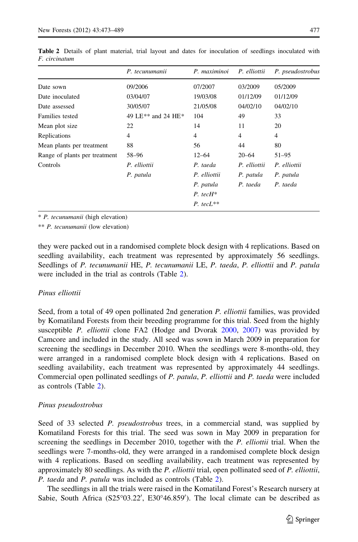|                               | P. tecunumanii     | P. maximinoi           | P. elliottii | P. pseudostrobus |
|-------------------------------|--------------------|------------------------|--------------|------------------|
| Date sown                     | 09/2006            | 07/2007                | 03/2009      | 05/2009          |
| Date inoculated               | 03/04/07           | 19/03/08               | 01/12/09     | 01/12/09         |
| Date assessed                 | 30/05/07           | 21/05/08               | 04/02/10     | 04/02/10         |
| Families tested               | 49 LE** and 24 HE* | 104                    | 49           | 33               |
| Mean plot size                | 22                 | 14                     | 11           | 20               |
| Replications                  | 4                  | 4                      | 4            | 4                |
| Mean plants per treatment     | 88                 | 56                     | 44           | 80               |
| Range of plants per treatment | 58-96              | $12 - 64$              | $20 - 64$    | 51-95            |
| Controls                      | P. elliottii       | P. taeda               | P. elliottii | P. elliottii     |
|                               | P. patula          | P. elliottii           | P. patula    | P. patula        |
|                               |                    | P. patula              | P. taeda     | P. taeda         |
|                               |                    | $P.$ tecH <sup>*</sup> |              |                  |
|                               |                    | $P.$ tec $L^{**}$      |              |                  |

<span id="page-4-0"></span>Table 2 Details of plant material, trial layout and dates for inoculation of seedlings inoculated with F. circinatum

\* P. tecunumanii (high elevation)

\*\* P. tecunumanii (low elevation)

they were packed out in a randomised complete block design with 4 replications. Based on seedling availability, each treatment was represented by approximately 56 seedlings. Seedlings of P. tecunumanii HE, P. tecunumanii LE, P. taeda, P. elliottii and P. patula were included in the trial as controls (Table 2).

# Pinus elliottii

Seed, from a total of 49 open pollinated 2nd generation P. elliottii families, was provided by Komatiland Forests from their breeding programme for this trial. Seed from the highly susceptible P. elliottii clone FA2 (Hodge and Dvorak [2000,](#page-15-0) [2007\)](#page-15-0) was provided by Camcore and included in the study. All seed was sown in March 2009 in preparation for screening the seedlings in December 2010. When the seedlings were 8-months-old, they were arranged in a randomised complete block design with 4 replications. Based on seedling availability, each treatment was represented by approximately 44 seedlings. Commercial open pollinated seedlings of P. patula, P. elliottii and P. taeda were included as controls (Table 2).

#### Pinus pseudostrobus

Seed of 33 selected *P. pseudostrobus* trees, in a commercial stand, was supplied by Komatiland Forests for this trial. The seed was sown in May 2009 in preparation for screening the seedlings in December 2010, together with the *P. elliottii* trial. When the seedlings were 7-months-old, they were arranged in a randomised complete block design with 4 replications. Based on seedling availability, each treatment was represented by approximately 80 seedlings. As with the *P. elliottii* trial, open pollinated seed of *P. elliottii*, P. taeda and P. patula was included as controls (Table 2).

The seedlings in all the trials were raised in the Komatiland Forest's Research nursery at Sabie, South Africa (S25°03.22', E30°46.859'). The local climate can be described as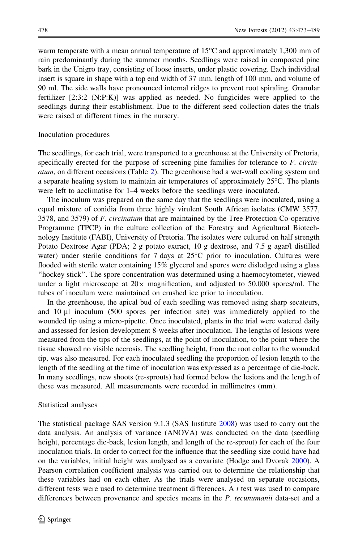warm temperate with a mean annual temperature of  $15^{\circ}$ C and approximately 1,300 mm of rain predominantly during the summer months. Seedlings were raised in composted pine bark in the Unigro tray, consisting of loose inserts, under plastic covering. Each individual insert is square in shape with a top end width of 37 mm, length of 100 mm, and volume of 90 ml. The side walls have pronounced internal ridges to prevent root spiraling. Granular fertilizer [2:3:2 (N:P:K)] was applied as needed. No fungicides were applied to the seedlings during their establishment. Due to the different seed collection dates the trials were raised at different times in the nursery.

#### Inoculation procedures

The seedlings, for each trial, were transported to a greenhouse at the University of Pretoria, specifically erected for the purpose of screening pine families for tolerance to F. circinatum, on different occasions (Table [2\)](#page-4-0). The greenhouse had a wet-wall cooling system and a separate heating system to maintain air temperatures of approximately  $25^{\circ}$ C. The plants were left to acclimatise for 1–4 weeks before the seedlings were inoculated.

The inoculum was prepared on the same day that the seedlings were inoculated, using a equal mixture of conidia from three highly virulent South African isolates (CMW 3577, 3578, and 3579) of F. circinatum that are maintained by the Tree Protection Co-operative Programme (TPCP) in the culture collection of the Forestry and Agricultural Biotechnology Institute (FABI), University of Pretoria. The isolates were cultured on half strength Potato Dextrose Agar (PDA; 2 g potato extract, 10 g dextrose, and 7.5 g agar/l distilled water) under sterile conditions for 7 days at  $25^{\circ}$ C prior to inoculation. Cultures were flooded with sterile water containing 15% glycerol and spores were dislodged using a glass ''hockey stick''. The spore concentration was determined using a haemocytometer, viewed under a light microscope at  $20 \times$  magnification, and adjusted to 50,000 spores/ml. The tubes of inoculum were maintained on crushed ice prior to inoculation.

In the greenhouse, the apical bud of each seedling was removed using sharp secateurs, and  $10 \mu$  inoculum (500 spores per infection site) was immediately applied to the wounded tip using a micro-pipette. Once inoculated, plants in the trial were watered daily and assessed for lesion development 8-weeks after inoculation. The lengths of lesions were measured from the tips of the seedlings, at the point of inoculation, to the point where the tissue showed no visible necrosis. The seedling height, from the root collar to the wounded tip, was also measured. For each inoculated seedling the proportion of lesion length to the length of the seedling at the time of inoculation was expressed as a percentage of die-back. In many seedlings, new shoots (re-sprouts) had formed below the lesions and the length of these was measured. All measurements were recorded in millimetres (mm).

#### Statistical analyses

The statistical package SAS version 9.1.3 (SAS Institute [2008](#page-16-0)) was used to carry out the data analysis. An analysis of variance (ANOVA) was conducted on the data (seedling height, percentage die-back, lesion length, and length of the re-sprout) for each of the four inoculation trials. In order to correct for the influence that the seedling size could have had on the variables, initial height was analysed as a covariate (Hodge and Dvorak [2000](#page-15-0)). A Pearson correlation coefficient analysis was carried out to determine the relationship that these variables had on each other. As the trials were analysed on separate occasions, different tests were used to determine treatment differences. A t test was used to compare differences between provenance and species means in the *P. tecunumanii* data-set and a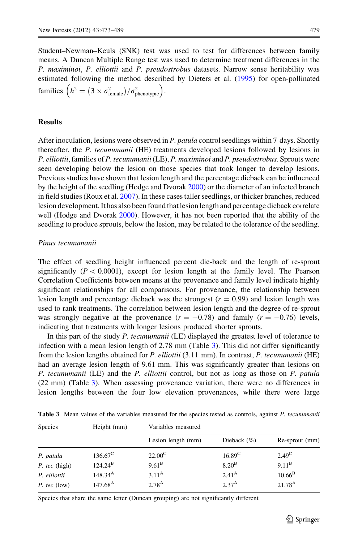Student–Newman–Keuls (SNK) test was used to test for differences between family means. A Duncan Multiple Range test was used to determine treatment differences in the P. maximinoi, P. elliottii and P. pseudostrobus datasets. Narrow sense heritability was estimated following the method described by Dieters et al. [\(1995](#page-15-0)) for open-pollinated families  $\left(h^2 = \left(3 \times \sigma_{\text{female}}^2\right) / \sigma_{\text{phenotypic}}^2\right)$ .

# **Results**

After inoculation, lesions were observed in P. patula control seedlings within 7 days. Shortly thereafter, the P. tecunumanii (HE) treatments developed lesions followed by lesions in P. elliottii, families of P. tecunumanii (LE), P. maximinoi and P. pseudostrobus. Sprouts were seen developing below the lesion on those species that took longer to develop lesions. Previous studies have shown that lesion length and the percentage dieback can be influenced by the height of the seedling (Hodge and Dvorak [2000\)](#page-15-0) or the diameter of an infected branch in field studies (Roux et al. [2007](#page-16-0)). In these cases taller seedlings, or thicker branches, reduced lesion development. It has also been found that lesion length and percentage dieback correlate well (Hodge and Dvorak [2000](#page-15-0)). However, it has not been reported that the ability of the seedling to produce sprouts, below the lesion, may be related to the tolerance of the seedling.

#### Pinus tecunumanii

The effect of seedling height influenced percent die-back and the length of re-sprout significantly ( $P < 0.0001$ ), except for lesion length at the family level. The Pearson Correlation Coefficients between means at the provenance and family level indicate highly significant relationships for all comparisons. For provenance, the relationship between lesion length and percentage dieback was the strongest ( $r = 0.99$ ) and lesion length was used to rank treatments. The correlation between lesion length and the degree of re-sprout was strongly negative at the provenance  $(r = -0.78)$  and family  $(r = -0.76)$  levels, indicating that treatments with longer lesions produced shorter sprouts.

In this part of the study P. tecunumanii (LE) displayed the greatest level of tolerance to infection with a mean lesion length of 2.78 mm (Table 3). This did not differ significantly from the lesion lengths obtained for P. elliottii (3.11 mm). In contrast, P. tecunumanii (HE) had an average lesion length of 9.61 mm. This was significantly greater than lesions on P. tecunumanii (LE) and the P. elliottii control, but not as long as those on P. patula (22 mm) (Table 3). When assessing provenance variation, there were no differences in lesion lengths between the four low elevation provenances, while there were large

| Species             | Height (mm)      | Variables measured  |                   |                   |  |
|---------------------|------------------|---------------------|-------------------|-------------------|--|
|                     |                  | Lesion length (mm)  | Dieback $(\%)$    | Re-sprout (mm)    |  |
| P. patula           | $136.67^{\circ}$ | $22.00^{\circ}$     | $16.89^{\circ}$   | $2.49^{\circ}$    |  |
| P. tec (high)       | $124.24^{\rm B}$ | $9.61^{\mathrm{B}}$ | 8.20 <sup>B</sup> | 9.11 <sup>B</sup> |  |
| P. elliottii        | $148.34^{A}$     | 3.11 <sup>A</sup>   | $2.41^{A}$        | $10.66^{\rm B}$   |  |
| <i>P. tec</i> (low) | $147.68^{A}$     | $2.78^{A}$          | 2.37 <sup>A</sup> | $21.78^{A}$       |  |

Table 3 Mean values of the variables measured for the species tested as controls, against P. tecunumanii

Species that share the same letter (Duncan grouping) are not significantly different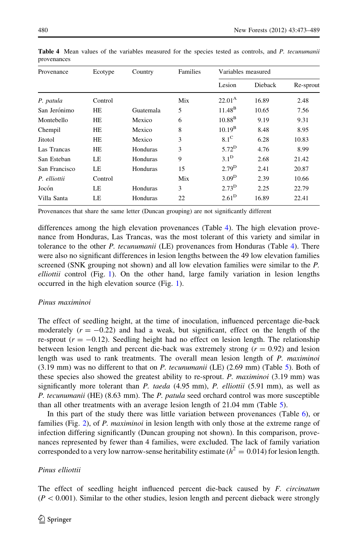| Provenance    | Ecotype   | Country   | Families | Variables measured  |         |           |
|---------------|-----------|-----------|----------|---------------------|---------|-----------|
|               |           |           |          | Lesion              | Dieback | Re-sprout |
| P. patula     | Control   |           | Mix      | $22.01^{\rm A}$     | 16.89   | 2.48      |
| San Jerónimo  | <b>HE</b> | Guatemala | 5        | $11.48^{B}$         | 10.65   | 7.56      |
| Montebello    | <b>HE</b> | Mexico    | 6        | 10.88 <sup>B</sup>  | 9.19    | 9.31      |
| Chempil       | HE        | Mexico    | 8        | $10.19^{B}$         | 8.48    | 8.95      |
| Jitotol       | <b>HE</b> | Mexico    | 3        | $8.1^{\circ}$       | 6.28    | 10.83     |
| Las Trancas   | HE        | Honduras  | 3        | $5.72^D$            | 4.76    | 8.99      |
| San Esteban   | LE        | Honduras  | 9        | $3.1^{\rm D}$       | 2.68    | 21.42     |
| San Francisco | LE        | Honduras  | 15       | 2.79 <sup>D</sup>   | 2.41    | 20.87     |
| P. elliottii  | Control   |           | Mix      | 3.09 <sup>D</sup>   | 2.39    | 10.66     |
| Jocón         | LE        | Honduras  | 3        | $2.73^{\rm D}$      | 2.25    | 22.79     |
| Villa Santa   | LE        | Honduras  | 22       | $2.61^{\mathrm{D}}$ | 16.89   | 22.41     |

Table 4 Mean values of the variables measured for the species tested as controls, and P. tecunumanii provenances

Provenances that share the same letter (Duncan grouping) are not significantly different

differences among the high elevation provenances (Table 4). The high elevation provenance from Honduras, Las Trancas, was the most tolerant of this variety and similar in tolerance to the other P. tecunumanii (LE) provenances from Honduras (Table 4). There were also no significant differences in lesion lengths between the 49 low elevation families screened (SNK grouping not shown) and all low elevation families were similar to the P. elliottii control (Fig. [1](#page-8-0)). On the other hand, large family variation in lesion lengths occurred in the high elevation source (Fig. [1](#page-8-0)).

#### Pinus maximinoi

The effect of seedling height, at the time of inoculation, influenced percentage die-back moderately  $(r = -0.22)$  and had a weak, but significant, effect on the length of the re-sprout  $(r = -0.12)$ . Seedling height had no effect on lesion length. The relationship between lesion length and percent die-back was extremely strong  $(r = 0.92)$  and lesion length was used to rank treatments. The overall mean lesion length of P. maximinoi (3.19 mm) was no different to that on P. tecunumanii (LE) (2.69 mm) (Table [5\)](#page-8-0). Both of these species also showed the greatest ability to re-sprout. P. *maximinoi* (3.19 mm) was significantly more tolerant than  $P$ . taeda (4.95 mm),  $P$ . elliottii (5.91 mm), as well as P. tecunumanii (HE) (8.63 mm). The P. patula seed orchard control was more susceptible than all other treatments with an average lesion length of 21.04 mm (Table [5](#page-8-0)).

In this part of the study there was little variation between provenances (Table  $6$ ), or families (Fig. [2](#page-9-0)), of P. *maximinoi* in lesion length with only those at the extreme range of infection differing significantly (Duncan grouping not shown). In this comparison, provenances represented by fewer than 4 families, were excluded. The lack of family variation corresponded to a very low narrow-sense heritability estimate ( $h^2 = 0.014$ ) for lesion length.

## Pinus elliottii

The effect of seedling height influenced percent die-back caused by  $F$ . *circinatum*  $(P < 0.001)$ . Similar to the other studies, lesion length and percent dieback were strongly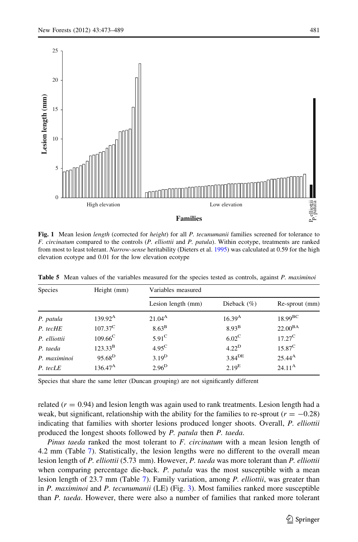<span id="page-8-0"></span>

Fig. 1 Mean lesion *length* (corrected for *height*) for all P. tecunumanii families screened for tolerance to F. circinatum compared to the controls (P. elliottii and P. patula). Within ecotype, treatments are ranked from most to least tolerant. Narrow-sense heritability (Dieters et al. [1995\)](#page-15-0) was calculated at 0.59 for the high elevation ecotype and 0.01 for the low elevation ecotype

| Species      | Height (mm)         | Variables measured |                      |                       |  |
|--------------|---------------------|--------------------|----------------------|-----------------------|--|
|              |                     | Lesion length (mm) | Dieback $(\%)$       | Re-sprout (mm)        |  |
| P. patula    | $139.92^{\text{A}}$ | $21.04^{A}$        | $16.39^{A}$          | $18.99$ <sup>BC</sup> |  |
| P. tecHE     | $107.37^{\circ}$    | 8.63 <sup>B</sup>  | 8.93 <sup>B</sup>    | 22.00 <sup>BA</sup>   |  |
| P. elliottii | $109.66^{\circ}$    | $5.91^\text{C}$    | $6.02^{\circ}$       | $17.27^{\rm C}$       |  |
| P. taeda     | $123.33^{\rm B}$    | $4.95^{\circ}$     | $4.22^{\rm D}$       | $15.87^{\circ}$       |  |
| P. maximinoi | $95.68^D$           | 3.19 <sup>D</sup>  | $3.84$ <sup>DE</sup> | $25.44^{A}$           |  |
| P. tecLE     | $136.47^{\rm A}$    | $2.96^D$           | 2.19 <sup>E</sup>    | $24.11^{\rm A}$       |  |

Table 5 Mean values of the variables measured for the species tested as controls, against P. maximinoi

Species that share the same letter (Duncan grouping) are not significantly different

related  $(r = 0.94)$  and lesion length was again used to rank treatments. Lesion length had a weak, but significant, relationship with the ability for the families to re-sprout ( $r = -0.28$ ) indicating that families with shorter lesions produced longer shoots. Overall, P. elliottii produced the longest shoots followed by P. patula then P. taeda.

Pinus taeda ranked the most tolerant to F. circinatum with a mean lesion length of 4.2 mm (Table [7\)](#page-10-0). Statistically, the lesion lengths were no different to the overall mean lesion length of P. elliottii (5.73 mm). However, P. taeda was more tolerant than P. elliottii when comparing percentage die-back. P. patula was the most susceptible with a mean lesion length of 23.7 mm (Table [7\)](#page-10-0). Family variation, among P. elliottii, was greater than in P. maximinoi and P. tecunumanii (LE) (Fig. [3](#page-10-0)). Most families ranked more susceptible than P. taeda. However, there were also a number of families that ranked more tolerant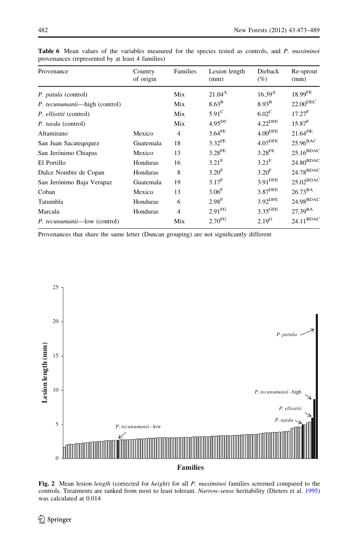| Provenance                    | Country<br>of origin | Families       | Lesion length<br>(mm) | Dieback<br>(%)        | Re-sprout<br>(mm)    |
|-------------------------------|----------------------|----------------|-----------------------|-----------------------|----------------------|
| P. patula (control)           |                      | Mix            | $21.04^{A}$           | $16.39^{A}$           | $18.99^{\rm FE}$     |
| P. tecunumanii—high (control) |                      | Mix            | $8.63^{\rm B}$        | $8.93^{\rm B}$        | $22.00^\mathrm{DEC}$ |
| <i>P. elliottii</i> (control) |                      | Mix            | $5.91^\circ$          | $6.02^{\circ}$        | $17.27^F$            |
| P. taeda (control)            |                      | Mix            | $4.95^{\rm DC}$       | $4.22^{DFE}$          | $15.87^F$            |
| Altamirano                    | Mexico               | $\overline{4}$ | $3.64$ <sup>FE</sup>  | $4.00^{\rm DFE}$      | $21.64^{\rm DE}$     |
| San Juan Sacategeguez         | Guatemala            | 18             | $3.32$ <sup>FE</sup>  | $4.07^{DEF}$          | $25.96^{\text{BAC}}$ |
| San Jerónimo Chiapas          | Mexico               | 13             | $3.28$ <sup>FE</sup>  | $3.28$ <sup>FE</sup>  | $25.16^{BDAC}$       |
| El Portillo                   | Honduras             | 16             | 3.21 <sup>F</sup>     | 3.21 <sup>F</sup>     | $24.80^{BDAC}$       |
| Dulce Nombre de Copan         | Honduras             | 8              | 3.20 <sup>F</sup>     | $3.20^{\rm F}$        | $24.78^{BDAC}$       |
| San Jerónimo Baja Verapaz     | Guatemala            | 19             | 3.17 <sup>F</sup>     | $3.91$ <sup>DFE</sup> | $25.02^{BDAC}$       |
| Coban                         | Mexico               | 13             | $3.06^{\rm F}$        | 3.87 <sup>DFE</sup>   | 26.73 <sup>BA</sup>  |
| Tatumbla                      | Honduras             | 6              | 2.98 <sup>F</sup>     | $3.92$ <sup>DFE</sup> | $24.98^{BDAC}$       |
| Marcala                       | Honduras             | $\overline{4}$ | $2.91$ <sup>FG</sup>  | $3.35$ <sup>GFE</sup> | $27.39^{\text{BA}}$  |
| P. tecunumanii—low (control)  |                      | Mix            | $2.70$ <sup>FG</sup>  | $2.19$ <sup>G</sup>   | $24.11^{BDAC}$       |

<span id="page-9-0"></span>Table 6 Mean values of the variables measured for the species tested as controls, and P. maximinoi provenances (represented by at least 4 families)

Provenances that share the same letter (Duncan grouping) are not significantly different



Fig. 2 Mean lesion length (corrected for height) for all P. maximinoi families screened compared to the controls. Treatments are ranked from most to least tolerant. Narrow-sense heritability (Dieters et al. [1995\)](#page-15-0) was calculated at 0.014

 $\mathcal{D}$  Springer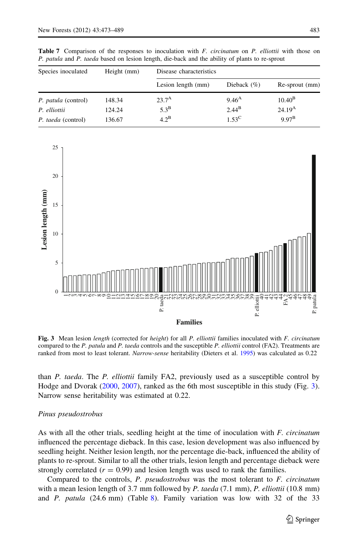| Species inoculated         | Height (mm) | Disease characteristics |                     |                    |  |  |
|----------------------------|-------------|-------------------------|---------------------|--------------------|--|--|
|                            |             | Lesion length (mm)      | Dieback $(\%)$      | Re-sprout (mm)     |  |  |
| <i>P. patula</i> (control) | 148.34      | $23.7^{\rm A}$          | $9.46^{A}$          | 10.40 <sup>B</sup> |  |  |
| P. elliottii               | 124.24      | $5.3^{\rm B}$           | $2.44^{\mathrm{B}}$ | 24.19 <sup>A</sup> |  |  |
| <i>P. taeda</i> (control)  | 136.67      | $4.2^{\rm B}$           | $1.53^{\circ}$      | $9.97^{\rm B}$     |  |  |

<span id="page-10-0"></span>Table 7 Comparison of the responses to inoculation with F. circinatum on P. elliottii with those on P. patula and P. taeda based on lesion length, die-back and the ability of plants to re-sprout



Fig. 3 Mean lesion length (corrected for height) for all P. elliottii families inoculated with F. circinatum compared to the P. patula and P. taeda controls and the susceptible P. elliottii control (FA2). Treatments are ranked from most to least tolerant. Narrow-sense heritability (Dieters et al. [1995\)](#page-15-0) was calculated as 0.22

than P. taeda. The P. elliottii family FA2, previously used as a susceptible control by Hodge and Dvorak [\(2000](#page-15-0), [2007](#page-15-0)), ranked as the 6th most susceptible in this study (Fig. 3). Narrow sense heritability was estimated at 0.22.

## Pinus pseudostrobus

As with all the other trials, seedling height at the time of inoculation with  $F$ . *circinatum* influenced the percentage dieback. In this case, lesion development was also influenced by seedling height. Neither lesion length, nor the percentage die-back, influenced the ability of plants to re-sprout. Similar to all the other trials, lesion length and percentage dieback were strongly correlated ( $r = 0.99$ ) and lesion length was used to rank the families.

Compared to the controls,  $P.$  pseudostrobus was the most tolerant to  $F.$  circinatum with a mean lesion length of 3.7 mm followed by P. taeda  $(7.1 \text{ mm})$ , P. elliottii  $(10.8 \text{ mm})$ and P. patula  $(24.6 \text{ mm})$  (Table [8\)](#page-11-0). Family variation was low with 32 of the 33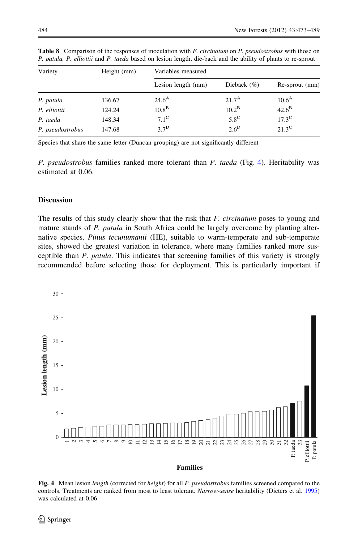| Variety          | Height (mm) | Variables measured |                |                     |  |
|------------------|-------------|--------------------|----------------|---------------------|--|
|                  |             | Lesion length (mm) | Dieback $(\%)$ | Re-sprout (mm)      |  |
| P. patula        | 136.67      | $24.6^{\rm A}$     | $21.7^{\rm A}$ | $10.6^{\rm A}$      |  |
| P. elliottii     | 124.24      | 10.8 <sup>B</sup>  | $10.2^{\rm B}$ | $42.6^{\mathrm{B}}$ |  |
| P. taeda         | 148.34      | $7.1^{\circ}$      | $5.8^{\circ}$  | $17.3^{\circ}$      |  |
| P. pseudostrobus | 147.68      | 3.7 <sup>D</sup>   | $2.6^D$        | $21.3^{\circ}$      |  |

<span id="page-11-0"></span>Table 8 Comparison of the responses of inoculation with F. circinatum on P. pseudostrobus with those on P. patula, P. elliottii and P. taeda based on lesion length, die-back and the ability of plants to re-sprout

Species that share the same letter (Duncan grouping) are not significantly different

P. pseudostrobus families ranked more tolerant than P. taeda (Fig. 4). Heritability was estimated at 0.06.

## **Discussion**

The results of this study clearly show that the risk that F. circinatum poses to young and mature stands of P. patula in South Africa could be largely overcome by planting alternative species. *Pinus tecunumanii* (HE), suitable to warm-temperate and sub-temperate sites, showed the greatest variation in tolerance, where many families ranked more susceptible than P. patula. This indicates that screening families of this variety is strongly recommended before selecting those for deployment. This is particularly important if



Fig. 4 Mean lesion *length* (corrected for *height*) for all P. pseudostrobus families screened compared to the controls. Treatments are ranked from most to least tolerant. Narrow-sense heritability (Dieters et al. [1995\)](#page-15-0) was calculated at 0.06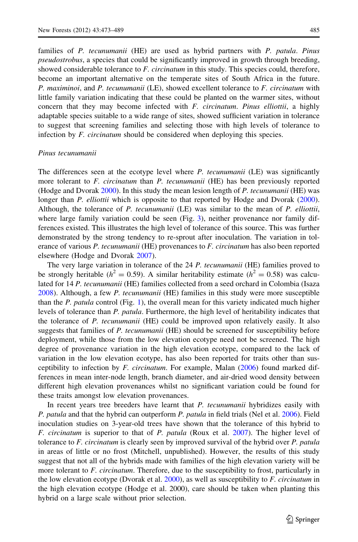families of  $P$ . tecunumanii (HE) are used as hybrid partners with  $P$ . patula. Pinus pseudostrobus, a species that could be significantly improved in growth through breeding, showed considerable tolerance to  $F.$  circinatum in this study. This species could, therefore, become an important alternative on the temperate sites of South Africa in the future. P. maximinoi, and P. tecunumanii (LE), showed excellent tolerance to F. circinatum with little family variation indicating that these could be planted on the warmer sites, without concern that they may become infected with F. circinatum. Pinus elliottii, a highly adaptable species suitable to a wide range of sites, showed sufficient variation in tolerance to suggest that screening families and selecting those with high levels of tolerance to infection by *F. circinatum* should be considered when deploying this species.

## Pinus tecunumanii

The differences seen at the ecotype level where P. tecunumanii (LE) was significantly more tolerant to F. circinatum than P. tecunumanii (HE) has been previously reported (Hodge and Dvorak [2000\)](#page-15-0). In this study the mean lesion length of P. tecunumanii (HE) was longer than P. elliottii which is opposite to that reported by Hodge and Dvorak [\(2000](#page-15-0)). Although, the tolerance of  $P$ . tecunumanii (LE) was similar to the mean of  $P$ . elliottii, where large family variation could be seen (Fig. [3\)](#page-10-0), neither provenance nor family differences existed. This illustrates the high level of tolerance of this source. This was further demonstrated by the strong tendency to re-sprout after inoculation. The variation in tolerance of various P. tecunumanii (HE) provenances to F. circinatum has also been reported elsewhere (Hodge and Dvorak [2007\)](#page-15-0).

The very large variation in tolerance of the 24 P. tecunumanii (HE) families proved to be strongly heritable ( $h^2 = 0.59$ ). A similar heritability estimate ( $h^2 = 0.58$ ) was calculated for 14 P. tecunumanii (HE) families collected from a seed orchard in Colombia (Isaza [2008\)](#page-15-0). Although, a few P. tecunumanii (HE) families in this study were more susceptible than the P. patula control (Fig. [1](#page-8-0)), the overall mean for this variety indicated much higher levels of tolerance than P. patula. Furthermore, the high level of heritability indicates that the tolerance of P. tecunumanii (HE) could be improved upon relatively easily. It also suggests that families of P. tecunumanii (HE) should be screened for susceptibility before deployment, while those from the low elevation ecotype need not be screened. The high degree of provenance variation in the high elevation ecotype, compared to the lack of variation in the low elevation ecotype, has also been reported for traits other than susceptibility to infection by  $F$ . *circinatum*. For example, Malan  $(2006)$  $(2006)$  found marked differences in mean inter-node length, branch diameter, and air-dried wood density between different high elevation provenances whilst no significant variation could be found for these traits amongst low elevation provenances.

In recent years tree breeders have learnt that *P. tecunumanii* hybridizes easily with P. patula and that the hybrid can outperform P. patula in field trials (Nel et al. [2006](#page-16-0)). Field inoculation studies on 3-year-old trees have shown that the tolerance of this hybrid to F. circinatum is superior to that of P. patula (Roux et al. [2007\)](#page-16-0). The higher level of tolerance to  $F$ . *circinatum* is clearly seen by improved survival of the hybrid over  $P$ . *patula* in areas of little or no frost (Mitchell, unpublished). However, the results of this study suggest that not all of the hybrids made with families of the high elevation variety will be more tolerant to F. circinatum. Therefore, due to the susceptibility to frost, particularly in the low elevation ecotype (Dvorak et al.  $2000$ ), as well as susceptibility to *F. circinatum* in the high elevation ecotype (Hodge et al. 2000), care should be taken when planting this hybrid on a large scale without prior selection.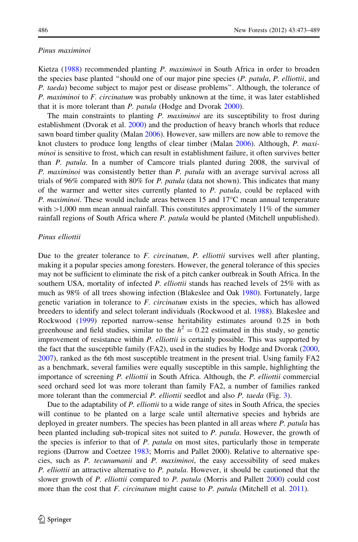#### Pinus maximinoi

Kietza [\(1988](#page-15-0)) recommended planting P. maximinoi in South Africa in order to broaden the species base planted "should one of our major pine species (P. patula, P. elliottii, and P. taeda) become subject to major pest or disease problems". Although, the tolerance of P. maximinoi to F. circinatum was probably unknown at the time, it was later established that it is more tolerant than *P. patula* (Hodge and Dvorak [2000](#page-15-0)).

The main constraints to planting P. maximinoi are its susceptibility to frost during establishment (Dvorak et al. [2000\)](#page-15-0) and the production of heavy branch whorls that reduce sawn board timber quality (Malan [2006\)](#page-16-0). However, saw millers are now able to remove the knot clusters to produce long lengths of clear timber (Malan [2006](#page-16-0)). Although, P. maximinoi is sensitive to frost, which can result in establishment failure, it often survives better than P. patula. In a number of Camcore trials planted during 2008, the survival of P. maximinoi was consistently better than P. patula with an average survival across all trials of  $96\%$  compared with  $80\%$  for P. patula (data not shown). This indicates that many of the warmer and wetter sites currently planted to P. patula, could be replaced with P. maximinoi. These would include areas between 15 and  $17^{\circ}$ C mean annual temperature with  $>1,000$  mm mean annual rainfall. This constitutes approximately 11% of the summer rainfall regions of South Africa where P. patula would be planted (Mitchell unpublished).

## Pinus elliottii

Due to the greater tolerance to  $F$ . *circinatum*,  $P$ . *elliottii* survives well after planting, making it a popular species among foresters. However, the general tolerance of this species may not be sufficient to eliminate the risk of a pitch canker outbreak in South Africa. In the southern USA, mortality of infected P. elliottii stands has reached levels of 25% with as much as 98% of all trees showing infection (Blakeslee and Oak [1980\)](#page-15-0). Fortunately, large genetic variation in tolerance to  $F$ . *circinatum* exists in the species, which has allowed breeders to identify and select tolerant individuals (Rockwood et al. [1988\)](#page-16-0). Blakeslee and Rockwood ([1999\)](#page-15-0) reported narrow-sense heritability estimates around 0.25 in both greenhouse and field studies, similar to the  $h^2 = 0.22$  estimated in this study, so genetic improvement of resistance within P. elliottii is certainly possible. This was supported by the fact that the susceptible family (FA2), used in the studies by Hodge and Dvorak [\(2000](#page-15-0), [2007\)](#page-15-0), ranked as the 6th most susceptible treatment in the present trial. Using family FA2 as a benchmark, several families were equally susceptible in this sample, highlighting the importance of screening P. elliottii in South Africa. Although, the P. elliottii commercial seed orchard seed lot was more tolerant than family FA2, a number of families ranked more tolerant than the commercial P. elliottii seedlot and also P. taeda (Fig. [3](#page-10-0)).

Due to the adaptability of P. elliottii to a wide range of sites in South Africa, the species will continue to be planted on a large scale until alternative species and hybrids are deployed in greater numbers. The species has been planted in all areas where P. patula has been planted including sub-tropical sites not suited to P. patula. However, the growth of the species is inferior to that of  $P$ . *patula* on most sites, particularly those in temperate regions (Darrow and Coetzee [1983](#page-15-0); Morris and Pallet 2000). Relative to alternative species, such as P. tecunumanii and P. maximinoi, the easy accessibility of seed makes P. elliottii an attractive alternative to P. patula. However, it should be cautioned that the slower growth of  $P$ . *elliottii* compared to  $P$ . *patula* (Morris and Pallett [2000](#page-16-0)) could cost more than the cost that F. circinatum might cause to P. patula (Mitchell et al. [2011\)](#page-16-0).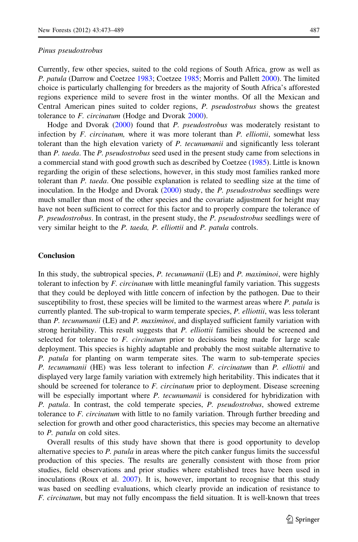#### Pinus pseudostrobus

Currently, few other species, suited to the cold regions of South Africa, grow as well as P. patula (Darrow and Coetzee [1983](#page-15-0); Coetzee [1985;](#page-15-0) Morris and Pallett [2000](#page-16-0)). The limited choice is particularly challenging for breeders as the majority of South Africa's afforested regions experience mild to severe frost in the winter months. Of all the Mexican and Central American pines suited to colder regions, P. pseudostrobus shows the greatest tolerance to  $F.$  circinatum (Hodge and Dvorak  $2000$ ).

Hodge and Dvorak [\(2000](#page-15-0)) found that P. pseudostrobus was moderately resistant to infection by  $F$ . *circinatum*, where it was more tolerant than  $P$ . *elliottii*, somewhat less tolerant than the high elevation variety of P. tecunumanii and significantly less tolerant than P. taeda. The P. pseudostrobus seed used in the present study came from selections in a commercial stand with good growth such as described by Coetzee ([1985\)](#page-15-0). Little is known regarding the origin of these selections, however, in this study most families ranked more tolerant than P. taeda. One possible explanation is related to seedling size at the time of inoculation. In the Hodge and Dvorak  $(2000)$  $(2000)$  study, the *P. pseudostrobus* seedlings were much smaller than most of the other species and the covariate adjustment for height may have not been sufficient to correct for this factor and to properly compare the tolerance of P. pseudostrobus. In contrast, in the present study, the P. pseudostrobus seedlings were of very similar height to the P. taeda, P. elliottii and P. patula controls.

## Conclusion

In this study, the subtropical species, P. tecunumanii (LE) and P. maximinoi, were highly tolerant to infection by  $F$ . *circinatum* with little meaningful family variation. This suggests that they could be deployed with little concern of infection by the pathogen. Due to their susceptibility to frost, these species will be limited to the warmest areas where P. patula is currently planted. The sub-tropical to warm temperate species, P. elliottii, was less tolerant than P. tecunumanii (LE) and P. maximinoi, and displayed sufficient family variation with strong heritability. This result suggests that  $P$ . elliottii families should be screened and selected for tolerance to  $F$ . *circinatum* prior to decisions being made for large scale deployment. This species is highly adaptable and probably the most suitable alternative to P. patula for planting on warm temperate sites. The warm to sub-temperate species P. tecunumanii (HE) was less tolerant to infection F. circinatum than P. elliottii and displayed very large family variation with extremely high heritability. This indicates that it should be screened for tolerance to  $F$ . *circinatum* prior to deployment. Disease screening will be especially important where *P. tecunumanii* is considered for hybridization with P. patula. In contrast, the cold temperate species, P. pseudostrobus, showed extreme tolerance to  $F$ . *circinatum* with little to no family variation. Through further breeding and selection for growth and other good characteristics, this species may become an alternative to P. patula on cold sites.

Overall results of this study have shown that there is good opportunity to develop alternative species to  $P$ . *patula* in areas where the pitch canker fungus limits the successful production of this species. The results are generally consistent with those from prior studies, field observations and prior studies where established trees have been used in inoculations (Roux et al. [2007](#page-16-0)). It is, however, important to recognise that this study was based on seedling evaluations, which clearly provide an indication of resistance to F. circinatum, but may not fully encompass the field situation. It is well-known that trees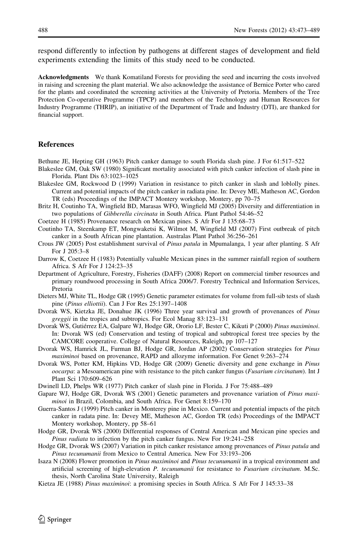<span id="page-15-0"></span>respond differently to infection by pathogens at different stages of development and field experiments extending the limits of this study need to be conducted.

Acknowledgments We thank Komatiland Forests for providing the seed and incurring the costs involved in raising and screening the plant material. We also acknowledge the assistance of Bernice Porter who cared for the plants and coordinated the screening activities at the University of Pretoria. Members of the Tree Protection Co-operative Programme (TPCP) and members of the Technology and Human Resources for Industry Programme (THRIP), an initiative of the Department of Trade and Industry (DTI), are thanked for financial support.

### References

Bethune JE, Hepting GH (1963) Pitch canker damage to south Florida slash pine. J For 61:517–522

- Blakeslee GM, Oak SW (1980) Significant mortality associated with pitch canker infection of slash pine in Florida. Plant Dis 63:1023–1025
- Blakeslee GM, Rockwood D (1999) Variation in resistance to pitch canker in slash and loblolly pines. Current and potential impacts of the pitch canker in radiata pine. In: Devey ME, Matheson AC, Gordon TR (eds) Proceedings of the IMPACT Montery workshop, Montery, pp 70–75
- Britz H, Coutinho TA, Wingfield BD, Marasas WFO, Wingfield MJ (2005) Diversity and differentiation in two populations of Gibberella circinata in South Africa. Plant Pathol 54:46–52
- Coetzee H (1985) Provenance research on Mexican pines. S Afr For J 135:68–73
- Coutinho TA, Steenkamp ET, Mongwaketsi K, Wilmot M, Wingfield MJ (2007) First outbreak of pitch canker in a South African pine plantation. Australas Plant Pathol 36:256–261
- Crous JW (2005) Post establishment survival of Pinus patula in Mpumalanga, 1 year after planting. S Afr For J 205:3–8
- Darrow K, Coetzee H (1983) Potentially valuable Mexican pines in the summer rainfall region of southern Africa. S Afr For J 124:23–35
- Department of Agriculture, Forestry, Fisheries (DAFF) (2008) Report on commercial timber resources and primary roundwood processing in South Africa 2006/7. Forestry Technical and Information Services, Pretoria
- Dieters MJ, White TL, Hodge GR (1995) Genetic parameter estimates for volume from full-sib tests of slash pine (Pinus elliottii). Can J For Res 25:1397–1408
- Dvorak WS, Kietzka JE, Donahue JK (1996) Three year survival and growth of provenances of Pinus greggii in the tropics and subtropics. For Ecol Manag 83:123–131
- Dvorak WS, Gutiérrez EA, Galpare WJ, Hodge GR, Ororio LF, Bester C, Kikuti P (2000) Pinus maximinoi. In: Dvorak WS (ed) Conservation and testing of tropical and subtropical forest tree species by the CAMCORE cooperative. College of Natural Resources, Raleigh, pp 107–127
- Dvorak WS, Hamrick JL, Furman BJ, Hodge GR, Jordan AP (2002) Conservation strategies for Pinus maximinoi based on provenance, RAPD and allozyme information. For Genet 9:263–274
- Dvorak WS, Potter KM, Hipkins VD, Hodge GR (2009) Genetic diversity and gene exchange in Pinus oocarpa: a Mesoamerican pine with resistance to the pitch canker fungus (Fusarium circinatum). Int J Plant Sci 170:609–626
- Dwinell LD, Phelps WR (1977) Pitch canker of slash pine in Florida. J For 75:488–489
- Gapare WJ, Hodge GR, Dvorak WS (2001) Genetic parameters and provenance variation of Pinus maximinoi in Brazil, Colombia, and South Africa. For Genet 8:159–170
- Guerra-Santos J (1999) Pitch canker in Monterey pine in Mexico. Current and potential impacts of the pitch canker in radata pine. In: Devey ME, Matheson AC, Gordon TR (eds) Proceedings of the IMPACT Montery workshop, Montery, pp 58–61
- Hodge GR, Dvorak WS (2000) Differential responses of Central American and Mexican pine species and Pinus radiata to infection by the pitch canker fungus. New For 19:241–258
- Hodge GR, Dvorak WS (2007) Variation in pitch canker resistance among provenances of Pinus patula and Pinus tecunumanii from Mexico to Central America. New For 33:193–206
- Isaza N (2008) Flower promotion in *Pinus maximinoi* and *Pinus tecunumanii* in a tropical environment and artificial screening of high-elevation P. tecunumanii for resistance to Fusarium circinatum. M.Sc. thesis, North Carolina State University, Raleigh
- Kietza JE (1988) Pinus maximinoi: a promising species in South Africa. S Afr For J 145:33–38